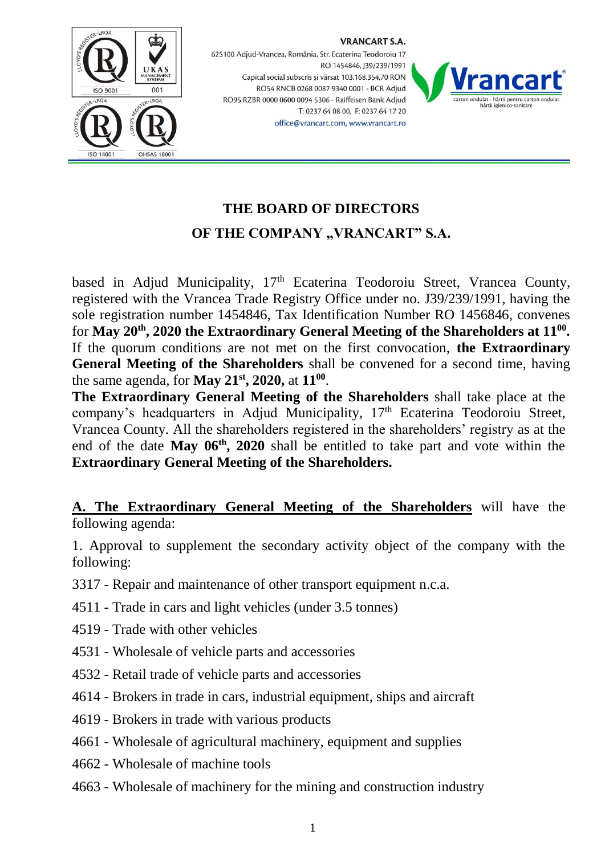

VRANCART S.A.



## **THE BOARD OF DIRECTORS**

office@vrancart.com, www.vrancart.ro

## **OF THE COMPANY "VRANCART" S.A.**

based in Adjud Municipality, 17<sup>th</sup> Ecaterina Teodoroiu Street, Vrancea County, registered with the Vrancea Trade Registry Office under no. J39/239/1991, having the sole registration number 1454846, Tax Identification Number RO 1456846, convenes for May 20<sup>th</sup>, 2020 the Extraordinary General Meeting of the Shareholders at  $11^{00}$ . If the quorum conditions are not met on the first convocation, **the Extraordinary General Meeting of the Shareholders** shall be convened for a second time, having the same agenda, for **May 21 st, 2020,** at **11<sup>00</sup>** .

**The Extraordinary General Meeting of the Shareholders** shall take place at the company's headquarters in Adjud Municipality, 17<sup>th</sup> Ecaterina Teodoroiu Street, Vrancea County. All the shareholders registered in the shareholders' registry as at the end of the date **May 06th, 2020** shall be entitled to take part and vote within the **Extraordinary General Meeting of the Shareholders.**

**A. The Extraordinary General Meeting of the Shareholders** will have the following agenda:

1. Approval to supplement the secondary activity object of the company with the following:

- 3317 Repair and maintenance of other transport equipment n.c.a.
- 4511 Trade in cars and light vehicles (under 3.5 tonnes)
- 4519 Trade with other vehicles
- 4531 Wholesale of vehicle parts and accessories
- 4532 Retail trade of vehicle parts and accessories
- 4614 Brokers in trade in cars, industrial equipment, ships and aircraft
- 4619 Brokers in trade with various products
- 4661 Wholesale of agricultural machinery, equipment and supplies
- 4662 Wholesale of machine tools
- 4663 Wholesale of machinery for the mining and construction industry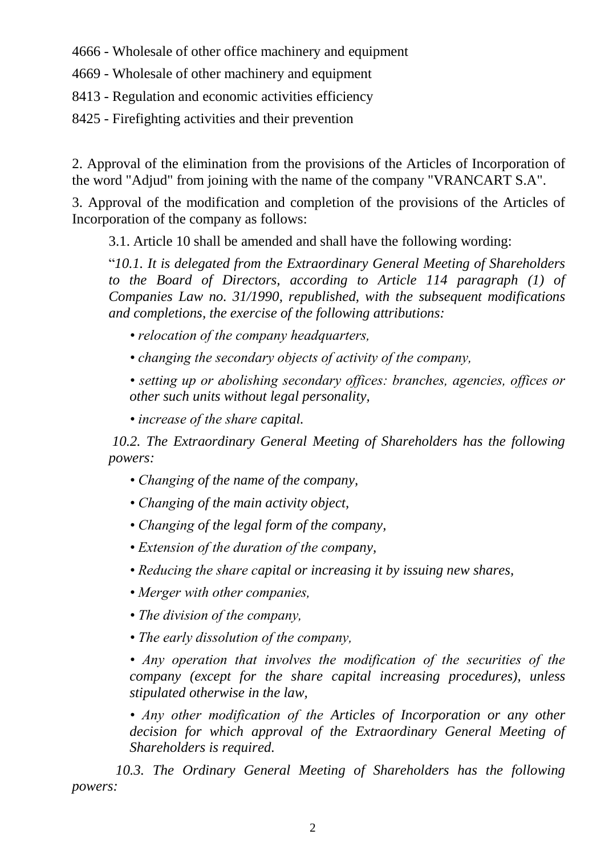4666 - Wholesale of other office machinery and equipment

4669 - Wholesale of other machinery and equipment

- 8413 Regulation and economic activities efficiency
- 8425 Firefighting activities and their prevention

2. Approval of the elimination from the provisions of the Articles of Incorporation of the word "Adjud" from joining with the name of the company "VRANCART S.A".

3. Approval of the modification and completion of the provisions of the Articles of Incorporation of the company as follows:

3.1. Article 10 shall be amended and shall have the following wording:

"*10.1. It is delegated from the Extraordinary General Meeting of Shareholders to the Board of Directors, according to Article 114 paragraph (1) of Companies Law no. 31/1990, republished, with the subsequent modifications and completions, the exercise of the following attributions:*

- *relocation of the company headquarters,*
- *changing the secondary objects of activity of the company,*

*• setting up or abolishing secondary offices: branches, agencies, offices or other such units without legal personality,*

*• increase of the share capital.*

*10.2. The Extraordinary General Meeting of Shareholders has the following powers:*

- *Changing of the name of the company,*
- *Changing of the main activity object,*
- *Changing of the legal form of the company,*
- *Extension of the duration of the company,*
- *Reducing the share capital or increasing it by issuing new shares,*
- *Merger with other companies,*
- *The division of the company,*
- *The early dissolution of the company,*

*• Any operation that involves the modification of the securities of the company (except for the share capital increasing procedures), unless stipulated otherwise in the law,*

*• Any other modification of the Articles of Incorporation or any other decision for which approval of the Extraordinary General Meeting of Shareholders is required.*

*10.3. The Ordinary General Meeting of Shareholders has the following powers:*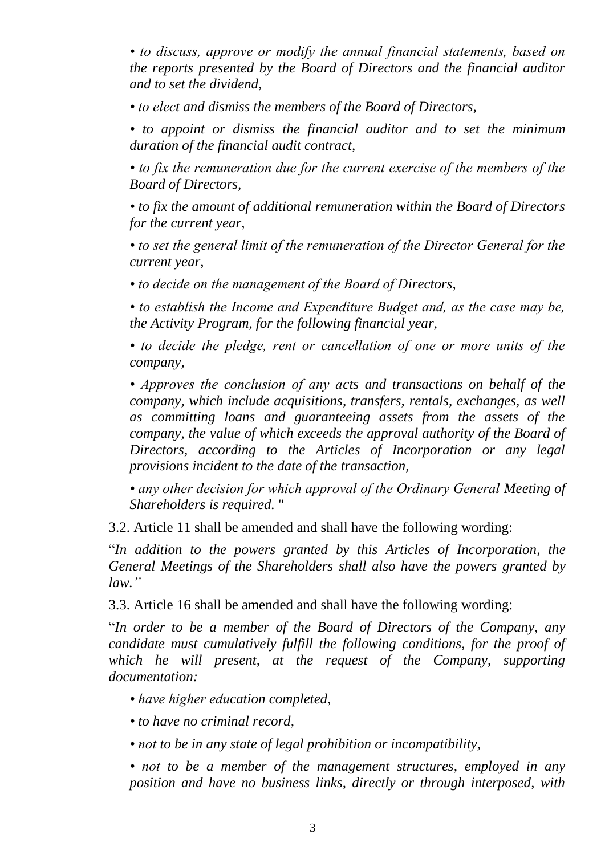*• to discuss, approve or modify the annual financial statements, based on the reports presented by the Board of Directors and the financial auditor and to set the dividend,*

*• to elect and dismiss the members of the Board of Directors,*

*• to appoint or dismiss the financial auditor and to set the minimum duration of the financial audit contract,*

• to fix the remuneration due for the current exercise of the members of the *Board of Directors,*

*• to fix the amount of additional remuneration within the Board of Directors for the current year,*

*• to set the general limit of the remuneration of the Director General for the current year,*

*• to decide on the management of the Board of Directors,*

*• to establish the Income and Expenditure Budget and, as the case may be, the Activity Program, for the following financial year,*

*• to decide the pledge, rent or cancellation of one or more units of the company,*

*• Approves the conclusion of any acts and transactions on behalf of the company, which include acquisitions, transfers, rentals, exchanges, as well as committing loans and guaranteeing assets from the assets of the company, the value of which exceeds the approval authority of the Board of Directors, according to the Articles of Incorporation or any legal provisions incident to the date of the transaction,*

*• any other decision for which approval of the Ordinary General Meeting of Shareholders is required.* "

3.2. Article 11 shall be amended and shall have the following wording:

"*In addition to the powers granted by this Articles of Incorporation, the General Meetings of the Shareholders shall also have the powers granted by law."*

3.3. Article 16 shall be amended and shall have the following wording:

"*In order to be a member of the Board of Directors of the Company, any candidate must cumulatively fulfill the following conditions, for the proof of which he will present, at the request of the Company, supporting documentation:*

- *have higher education completed,*
- *to have no criminal record,*
- *not to be in any state of legal prohibition or incompatibility,*

*• not to be a member of the management structures, employed in any position and have no business links, directly or through interposed, with*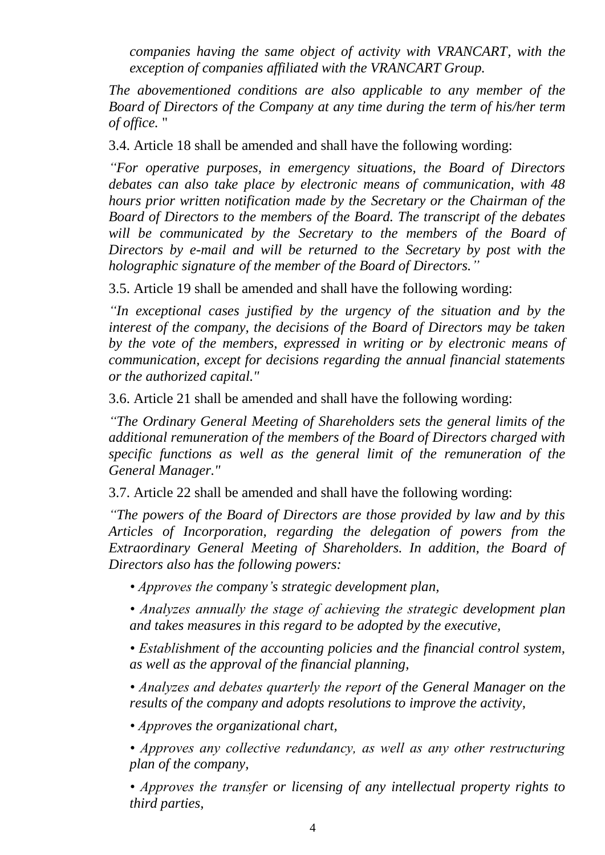*companies having the same object of activity with VRANCART, with the exception of companies affiliated with the VRANCART Group.*

*The abovementioned conditions are also applicable to any member of the Board of Directors of the Company at any time during the term of his/her term of office.* "

3.4. Article 18 shall be amended and shall have the following wording:

*"For operative purposes, in emergency situations, the Board of Directors debates can also take place by electronic means of communication, with 48 hours prior written notification made by the Secretary or the Chairman of the Board of Directors to the members of the Board. The transcript of the debates*  will be communicated by the Secretary to the members of the Board of *Directors by e-mail and will be returned to the Secretary by post with the holographic signature of the member of the Board of Directors."*

3.5. Article 19 shall be amended and shall have the following wording:

*"In exceptional cases justified by the urgency of the situation and by the interest of the company, the decisions of the Board of Directors may be taken by the vote of the members, expressed in writing or by electronic means of communication, except for decisions regarding the annual financial statements or the authorized capital."*

3.6. Article 21 shall be amended and shall have the following wording:

*"The Ordinary General Meeting of Shareholders sets the general limits of the additional remuneration of the members of the Board of Directors charged with specific functions as well as the general limit of the remuneration of the General Manager."*

3.7. Article 22 shall be amended and shall have the following wording:

*"The powers of the Board of Directors are those provided by law and by this Articles of Incorporation, regarding the delegation of powers from the Extraordinary General Meeting of Shareholders. In addition, the Board of Directors also has the following powers:*

- *Approves the company's strategic development plan,*
- *Analyzes annually the stage of achieving the strategic development plan and takes measures in this regard to be adopted by the executive,*
- *Establishment of the accounting policies and the financial control system, as well as the approval of the financial planning,*
- *Analyzes and debates quarterly the report of the General Manager on the results of the company and adopts resolutions to improve the activity,*

*• Approves the organizational chart,*

*• Approves any collective redundancy, as well as any other restructuring plan of the company,*

*• Approves the transfer or licensing of any intellectual property rights to third parties,*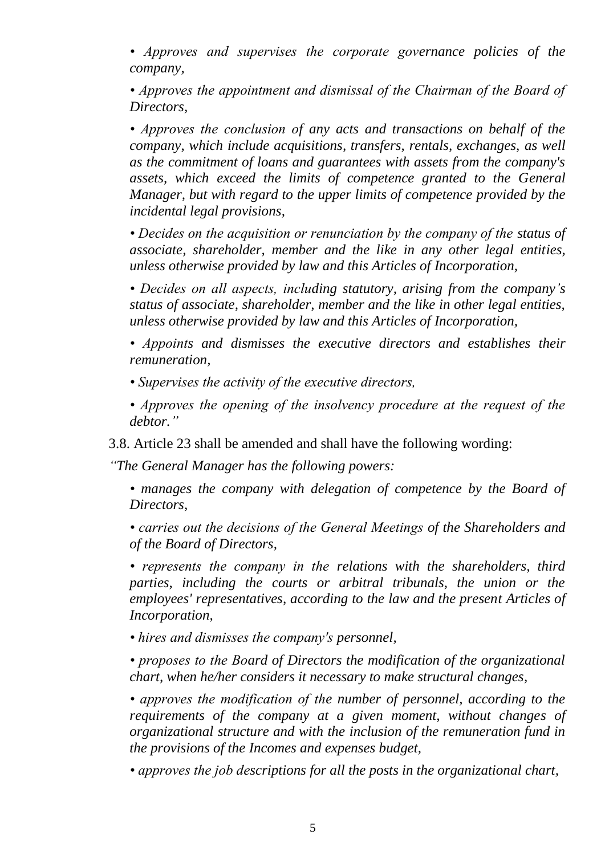*• Approves and supervises the corporate governance policies of the company,*

*• Approves the appointment and dismissal of the Chairman of the Board of Directors,*

*• Approves the conclusion of any acts and transactions on behalf of the company, which include acquisitions, transfers, rentals, exchanges, as well as the commitment of loans and guarantees with assets from the company's assets, which exceed the limits of competence granted to the General Manager, but with regard to the upper limits of competence provided by the incidental legal provisions,*

*• Decides on the acquisition or renunciation by the company of the status of associate, shareholder, member and the like in any other legal entities, unless otherwise provided by law and this Articles of Incorporation,*

*• Decides on all aspects, including statutory, arising from the company's status of associate, shareholder, member and the like in other legal entities, unless otherwise provided by law and this Articles of Incorporation,*

*• Appoints and dismisses the executive directors and establishes their remuneration,*

*• Supervises the activity of the executive directors,*

*• Approves the opening of the insolvency procedure at the request of the debtor."*

3.8. Article 23 shall be amended and shall have the following wording:

*"The General Manager has the following powers:*

*• manages the company with delegation of competence by the Board of Directors,*

*• carries out the decisions of the General Meetings of the Shareholders and of the Board of Directors,*

*• represents the company in the relations with the shareholders, third parties, including the courts or arbitral tribunals, the union or the employees' representatives, according to the law and the present Articles of Incorporation,*

*• hires and dismisses the company's personnel,*

*• proposes to the Board of Directors the modification of the organizational chart, when he/her considers it necessary to make structural changes,*

*• approves the modification of the number of personnel, according to the requirements of the company at a given moment, without changes of organizational structure and with the inclusion of the remuneration fund in the provisions of the Incomes and expenses budget,* 

*• approves the job descriptions for all the posts in the organizational chart,*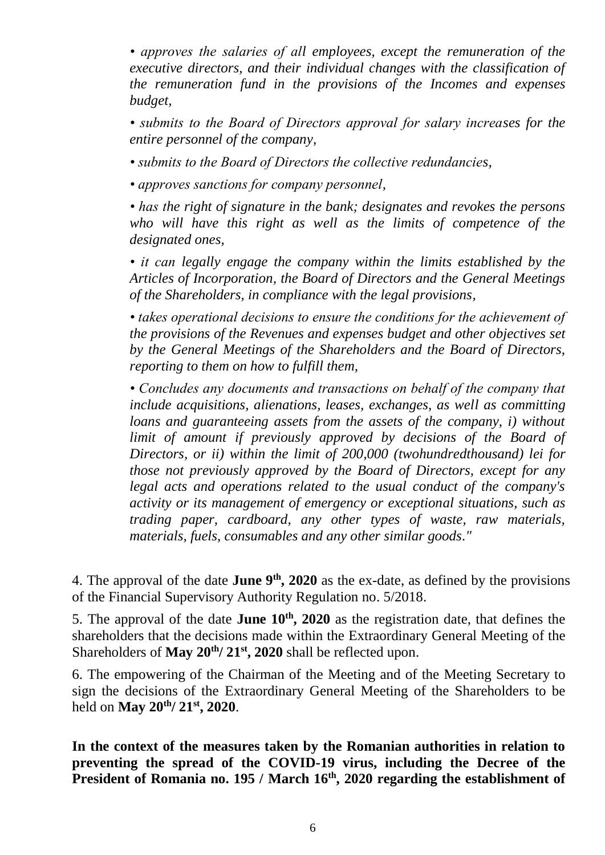*• approves the salaries of all employees, except the remuneration of the executive directors, and their individual changes with the classification of the remuneration fund in the provisions of the Incomes and expenses budget,* 

*• submits to the Board of Directors approval for salary increases for the entire personnel of the company,*

*• submits to the Board of Directors the collective redundancies,* 

*• approves sanctions for company personnel,* 

*• has the right of signature in the bank; designates and revokes the persons who will have this right as well as the limits of competence of the designated ones,* 

*• it can legally engage the company within the limits established by the Articles of Incorporation, the Board of Directors and the General Meetings of the Shareholders, in compliance with the legal provisions,*

*• takes operational decisions to ensure the conditions for the achievement of the provisions of the Revenues and expenses budget and other objectives set by the General Meetings of the Shareholders and the Board of Directors, reporting to them on how to fulfill them,* 

*• Concludes any documents and transactions on behalf of the company that include acquisitions, alienations, leases, exchanges, as well as committing loans and guaranteeing assets from the assets of the company, i) without limit of amount if previously approved by decisions of the Board of Directors, or ii) within the limit of 200,000 (twohundredthousand) lei for those not previously approved by the Board of Directors, except for any legal acts and operations related to the usual conduct of the company's activity or its management of emergency or exceptional situations, such as trading paper, cardboard, any other types of waste, raw materials, materials, fuels, consumables and any other similar goods."*

4. The approval of the date **June**  $9<sup>th</sup>$ , 2020 as the ex-date, as defined by the provisions of the Financial Supervisory Authority Regulation no. 5/2018.

5. The approval of the date **June 10th, 2020** as the registration date, that defines the shareholders that the decisions made within the Extraordinary General Meeting of the Shareholders of **May 20th/ 21st, 2020** shall be reflected upon.

6. The empowering of the Chairman of the Meeting and of the Meeting Secretary to sign the decisions of the Extraordinary General Meeting of the Shareholders to be held on **May 20th/ 21st, 2020**.

**In the context of the measures taken by the Romanian authorities in relation to preventing the spread of the COVID-19 virus, including the Decree of the President of Romania no. 195 / March 16th , 2020 regarding the establishment of**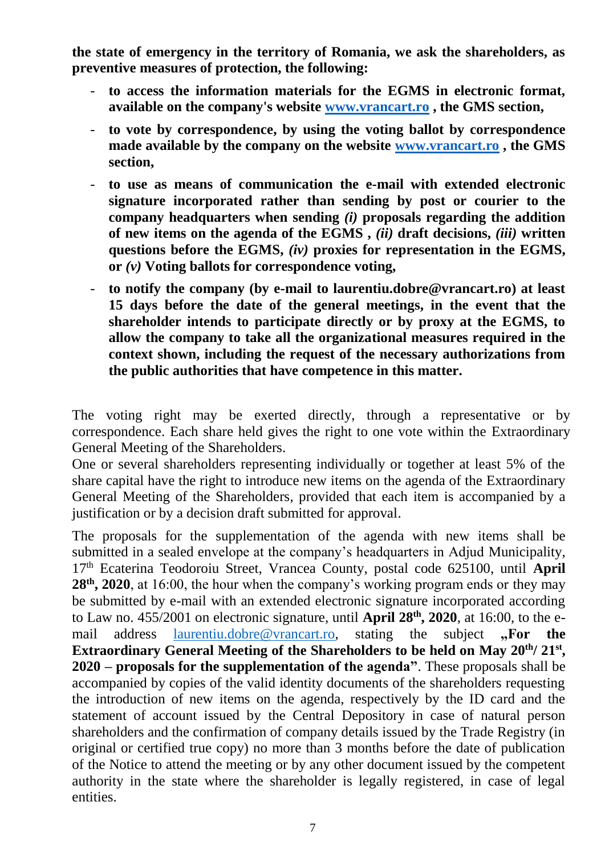**the state of emergency in the territory of Romania, we ask the shareholders, as preventive measures of protection, the following:**

- **to access the information materials for the EGMS in electronic format, available on the company's website [www.vrancart.ro](http://www.vrancart.ro/) , the GMS section,**
- **to vote by correspondence, by using the voting ballot by correspondence made available by the company on the website [www.vrancart.ro](http://www.vrancart.ro/) , the GMS section,**
- **to use as means of communication the e-mail with extended electronic signature incorporated rather than sending by post or courier to the company headquarters when sending** *(i)* **proposals regarding the addition of new items on the agenda of the EGMS ,** *(ii)* **draft decisions,** *(iii)* **written questions before the EGMS,** *(iv)* **proxies for representation in the EGMS, or** *(v)* **Voting ballots for correspondence voting,**
- **to notify the company (by e-mail to laurentiu.dobre@vrancart.ro) at least 15 days before the date of the general meetings, in the event that the shareholder intends to participate directly or by proxy at the EGMS, to allow the company to take all the organizational measures required in the context shown, including the request of the necessary authorizations from the public authorities that have competence in this matter.**

The voting right may be exerted directly, through a representative or by correspondence. Each share held gives the right to one vote within the Extraordinary General Meeting of the Shareholders.

One or several shareholders representing individually or together at least 5% of the share capital have the right to introduce new items on the agenda of the Extraordinary General Meeting of the Shareholders, provided that each item is accompanied by a justification or by a decision draft submitted for approval.

The proposals for the supplementation of the agenda with new items shall be submitted in a sealed envelope at the company's headquarters in Adjud Municipality, 17th Ecaterina Teodoroiu Street, Vrancea County, postal code 625100, until **April 28 th, 2020**, at 16:00, the hour when the company's working program ends or they may be submitted by e-mail with an extended electronic signature incorporated according to Law no. 455/2001 on electronic signature, until **April 28 th, 2020**, at 16:00, to the email address [laurentiu.dobre@vrancart.ro,](mailto:laurentiu.dobre@vrancart.ro) stating the subject **.**For the Extraordinary General Meeting of the Shareholders to be held on May 20<sup>th</sup>/21<sup>st</sup>, **2020 – proposals for the supplementation of the agenda"**. These proposals shall be accompanied by copies of the valid identity documents of the shareholders requesting the introduction of new items on the agenda, respectively by the ID card and the statement of account issued by the Central Depository in case of natural person shareholders and the confirmation of company details issued by the Trade Registry (in original or certified true copy) no more than 3 months before the date of publication of the Notice to attend the meeting or by any other document issued by the competent authority in the state where the shareholder is legally registered, in case of legal entities.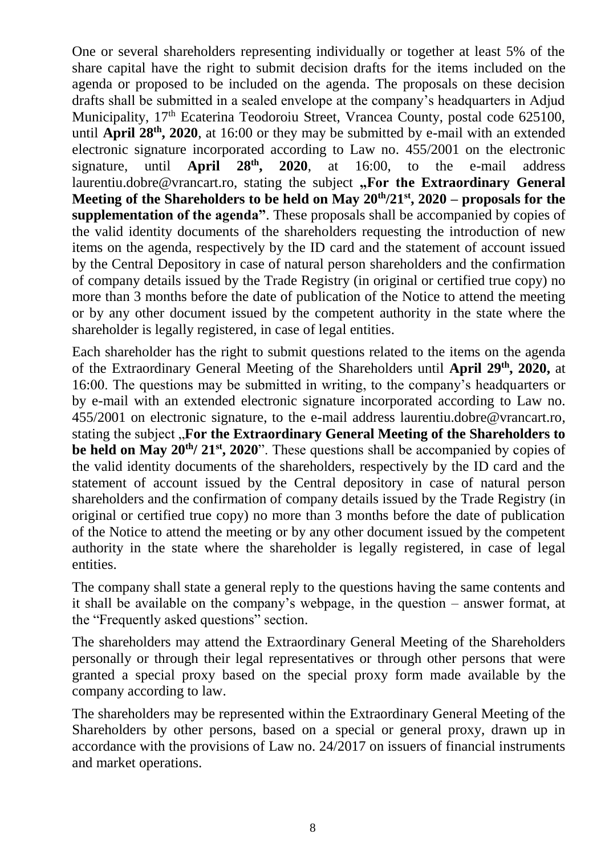One or several shareholders representing individually or together at least 5% of the share capital have the right to submit decision drafts for the items included on the agenda or proposed to be included on the agenda. The proposals on these decision drafts shall be submitted in a sealed envelope at the company's headquarters in Adjud Municipality, 17<sup>th</sup> Ecaterina Teodoroiu Street, Vrancea County, postal code 625100, until **April 28<sup>th</sup>**, 2020, at 16:00 or they may be submitted by e-mail with an extended electronic signature incorporated according to Law no.  $455/2001$  on the electronic signature, until **April 28<sup>th</sup>, 2020**, at 16:00, to the e-mail address signature, until **April 2020**, at 16:00, to the e-mail address laurentiu.dobre@vrancart.ro, stating the subject "For the Extraordinary General **Meeting of the Shareholders to be held on May 20 th/21 st, 2020 – proposals for the supplementation of the agenda"**. These proposals shall be accompanied by copies of the valid identity documents of the shareholders requesting the introduction of new items on the agenda, respectively by the ID card and the statement of account issued by the Central Depository in case of natural person shareholders and the confirmation of company details issued by the Trade Registry (in original or certified true copy) no more than 3 months before the date of publication of the Notice to attend the meeting or by any other document issued by the competent authority in the state where the shareholder is legally registered, in case of legal entities.

Each shareholder has the right to submit questions related to the items on the agenda of the Extraordinary General Meeting of the Shareholders until April 29<sup>th</sup>, 2020, at 16:00. The questions may be submitted in writing, to the company's headquarters or by e-mail with an extended electronic signature incorporated according to Law no. 455/2001 on electronic signature, to the e-mail address laurentiu.dobre@vrancart.ro, stating the subject "**For the Extraordinary General Meeting of the Shareholders to be held on May 20<sup>th</sup>/21<sup>st</sup>, 2020**". These questions shall be accompanied by copies of the valid identity documents of the shareholders, respectively by the ID card and the statement of account issued by the Central depository in case of natural person shareholders and the confirmation of company details issued by the Trade Registry (in original or certified true copy) no more than 3 months before the date of publication of the Notice to attend the meeting or by any other document issued by the competent authority in the state where the shareholder is legally registered, in case of legal entities.

The company shall state a general reply to the questions having the same contents and it shall be available on the company's webpage, in the question – answer format, at the "Frequently asked questions" section.

The shareholders may attend the Extraordinary General Meeting of the Shareholders personally or through their legal representatives or through other persons that were granted a special proxy based on the special proxy form made available by the company according to law.

The shareholders may be represented within the Extraordinary General Meeting of the Shareholders by other persons, based on a special or general proxy, drawn up in accordance with the provisions of Law no. 24/2017 on issuers of financial instruments and market operations.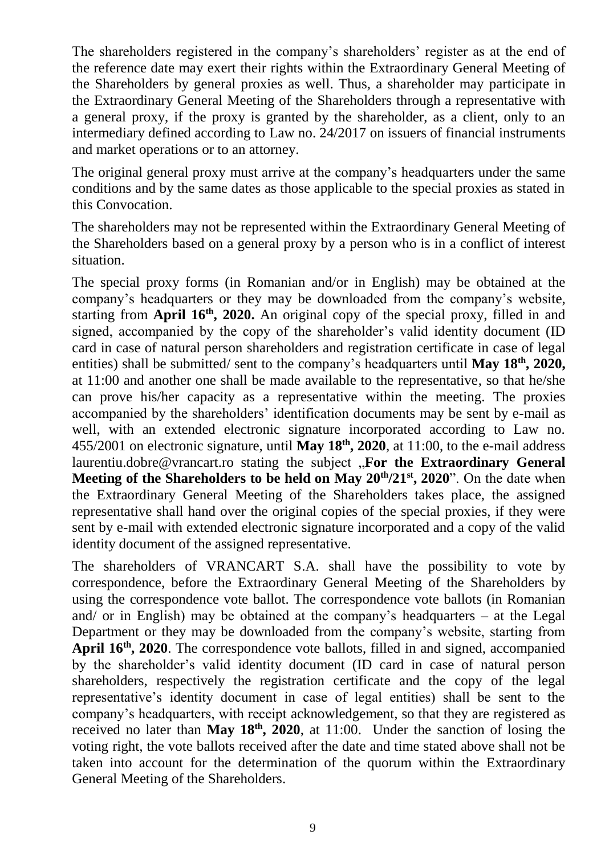The shareholders registered in the company's shareholders' register as at the end of the reference date may exert their rights within the Extraordinary General Meeting of the Shareholders by general proxies as well. Thus, a shareholder may participate in the Extraordinary General Meeting of the Shareholders through a representative with a general proxy, if the proxy is granted by the shareholder, as a client, only to an intermediary defined according to Law no. 24/2017 on issuers of financial instruments and market operations or to an attorney.

The original general proxy must arrive at the company's headquarters under the same conditions and by the same dates as those applicable to the special proxies as stated in this Convocation.

The shareholders may not be represented within the Extraordinary General Meeting of the Shareholders based on a general proxy by a person who is in a conflict of interest situation.

The special proxy forms (in Romanian and/or in English) may be obtained at the company's headquarters or they may be downloaded from the company's website, starting from **April 16th, 2020.** An original copy of the special proxy, filled in and signed, accompanied by the copy of the shareholder's valid identity document (ID card in case of natural person shareholders and registration certificate in case of legal entities) shall be submitted/ sent to the company's headquarters until **May 18th, 2020,** at 11:00 and another one shall be made available to the representative, so that he/she can prove his/her capacity as a representative within the meeting. The proxies accompanied by the shareholders' identification documents may be sent by e-mail as well, with an extended electronic signature incorporated according to Law no. 455/2001 on electronic signature, until **May 18th, 2020**, at 11:00, to the e-mail address laurentiu.dobre@vrancart.ro stating the subject "**For the Extraordinary General Meeting of the Shareholders to be held on May**  $20<sup>th</sup>/21<sup>st</sup>$ **, 2020". On the date when** the Extraordinary General Meeting of the Shareholders takes place, the assigned representative shall hand over the original copies of the special proxies, if they were sent by e-mail with extended electronic signature incorporated and a copy of the valid identity document of the assigned representative.

The shareholders of VRANCART S.A. shall have the possibility to vote by correspondence, before the Extraordinary General Meeting of the Shareholders by using the correspondence vote ballot. The correspondence vote ballots (in Romanian and/ or in English) may be obtained at the company's headquarters – at the Legal Department or they may be downloaded from the company's website, starting from **April 16th, 2020**. The correspondence vote ballots, filled in and signed, accompanied by the shareholder's valid identity document (ID card in case of natural person shareholders, respectively the registration certificate and the copy of the legal representative's identity document in case of legal entities) shall be sent to the company's headquarters, with receipt acknowledgement, so that they are registered as received no later than **May 18th, 2020**, at 11:00. Under the sanction of losing the voting right, the vote ballots received after the date and time stated above shall not be taken into account for the determination of the quorum within the Extraordinary General Meeting of the Shareholders.